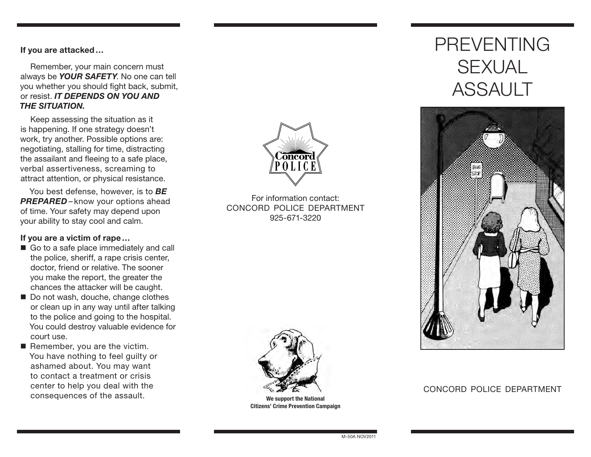#### If you are attacked…

Remember, your main concern must always be *YOUR SAFETY*. No one can tell you whether you should fight back, submit, or resist. *IT DEPENDS ON YOU AND THE SITUATION.*

Keep assessing the situation as it is happening. If one strategy doesn't work, try another. Possible options are: negotiating, stalling for time, distracting the assailant and fleeing to a safe place, verbal assertiveness, screaming to attract attention, or physical resistance.

You best defense, however, is to *BE* **PREPARED** – know your options ahead of time. Your safety may depend upon your ability to stay cool and calm.

#### If you are a victim of rape…

- Go to a safe place immediately and call the police, sheriff, a rape crisis center, doctor, friend or relative. The sooner you make the report, the greater the chances the attacker will be caught.
- Do not wash, douche, change clothes or clean up in any way until after talking to the police and going to the hospital. You could destroy valuable evidence for court use.
- $\blacksquare$  Remember, you are the victim. You have nothing to feel guilty or ashamed about. You may want to contact a treatment or crisis center to help you deal with the consequences of the assault.



For information contact: CONCORD POLICE DEPARTMENT 925-671-3220



We support the National Citizens' Crime Prevention Campaign

# PREVENTING **SEXUAL** ASSAULT



### CONCORD POLICE DEPARTMENT